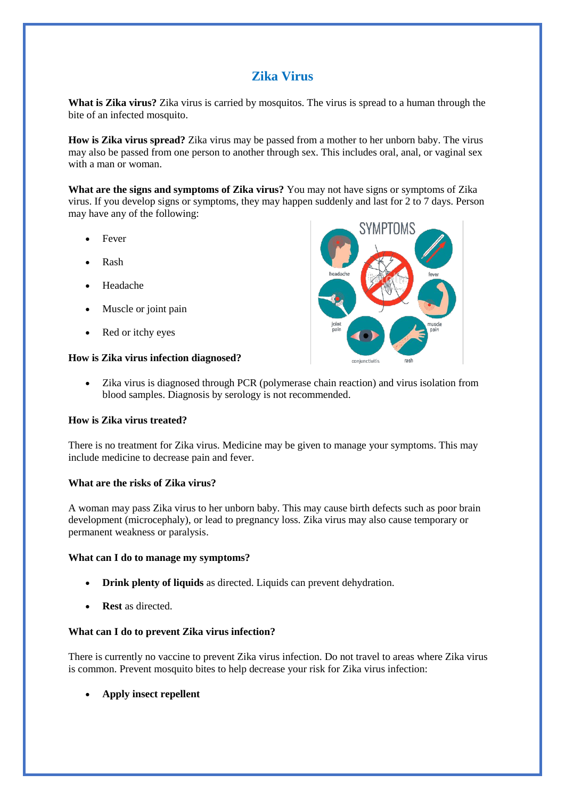# **Zika Virus**

**What is Zika virus?** Zika virus is carried by mosquitos. The virus is spread to a human through the bite of an infected mosquito.

**How is Zika virus spread?** Zika virus may be passed from a mother to her unborn baby. The virus may also be passed from one person to another through sex. This includes oral, anal, or vaginal sex with a man or woman.

**What are the signs and symptoms of Zika virus?** You may not have signs or symptoms of Zika virus. If you develop signs or symptoms, they may happen suddenly and last for 2 to 7 days. Person may have any of the following:

- Fever
- Rash
- Headache
- Muscle or joint pain
- Red or itchy eyes

## **How is Zika virus infection diagnosed?**



 Zika virus is diagnosed through PCR (polymerase chain reaction) and virus isolation from blood samples. Diagnosis by serology is not recommended.

### **How is Zika virus treated?**

There is no treatment for Zika virus. Medicine may be given to manage your symptoms. This may include medicine to decrease pain and fever.

### **What are the risks of Zika virus?**

A woman may pass Zika virus to her unborn baby. This may cause birth defects such as poor brain development (microcephaly), or lead to pregnancy loss. Zika virus may also cause temporary or permanent weakness or paralysis.

### **What can I do to manage my symptoms?**

- **Drink plenty of liquids** as directed. Liquids can prevent dehydration.
- **Rest** as directed.

### **What can I do to prevent Zika virus infection?**

There is currently no vaccine to prevent Zika virus infection. Do not travel to areas where Zika virus is common. Prevent mosquito bites to help decrease your risk for Zika virus infection:

**Apply insect repellent**